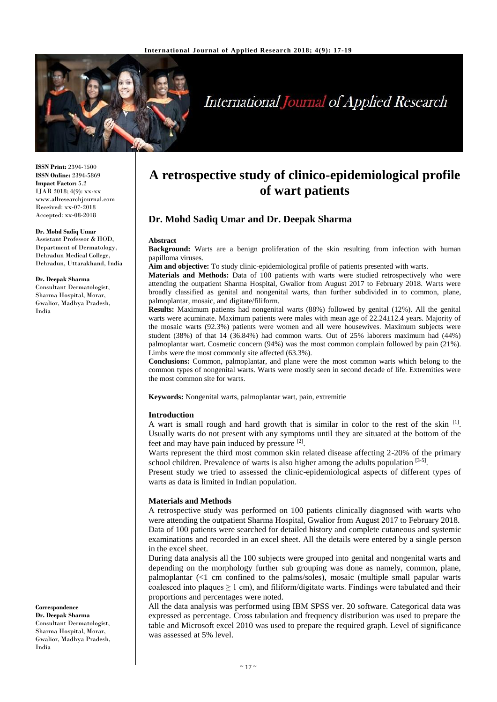

# **International Journal of Applied Research**

**ISSN Print:** 2394-7500 **ISSN Online:** 2394-5869 **Impact Factor:** 5.2 IJAR 2018; 4(9): xx-xx www.allresearchjournal.com Received: xx-07-2018 Accepted: xx-08-2018

#### **Dr. Mohd Sadiq Umar**

Assistant Professor & HOD, Department of Dermatology, Dehradun Medical College, Dehradun, Uttarakhand, India

#### **Dr. Deepak Sharma**

Consultant Dermatologist, Sharma Hospital, Morar, Gwalior, Madhya Pradesh, India

## **A retrospective study of clinico-epidemiological profile of wart patients**

### **Dr. Mohd Sadiq Umar and Dr. Deepak Sharma**

#### **Abstract**

**Background:** Warts are a benign proliferation of the skin resulting from infection with human papilloma viruses.

**Aim and objective:** To study clinic-epidemiological profile of patients presented with warts.

**Materials and Methods:** Data of 100 patients with warts were studied retrospectively who were attending the outpatient Sharma Hospital, Gwalior from August 2017 to February 2018. Warts were broadly classified as genital and nongenital warts, than further subdivided in to common, plane, palmoplantar, mosaic, and digitate/filiform.

**Results:** Maximum patients had nongenital warts (88%) followed by genital (12%). All the genital warts were acuminate. Maximum patients were males with mean age of 22.24±12.4 years. Majority of the mosaic warts (92.3%) patients were women and all were housewives. Maximum subjects were student (38%) of that 14 (36.84%) had common warts. Out of 25% laborers maximum had (44%) palmoplantar wart. Cosmetic concern (94%) was the most common complain followed by pain (21%). Limbs were the most commonly site affected (63.3%).

**Conclusions:** Common, palmoplantar, and plane were the most common warts which belong to the common types of nongenital warts. Warts were mostly seen in second decade of life. Extremities were the most common site for warts.

**Keywords:** Nongenital warts, palmoplantar wart, pain, extremitie

#### **Introduction**

A wart is small rough and hard growth that is similar in color to the rest of the skin [1]. Usually warts do not present with any symptoms until they are situated at the bottom of the feet and may have pain induced by pressure [2].

Warts represent the third most common skin related disease affecting 2-20% of the primary school children. Prevalence of warts is also higher among the adults population  $[3-5]$ .

Present study we tried to assessed the clinic-epidemiological aspects of different types of warts as data is limited in Indian population.

#### **Materials and Methods**

A retrospective study was performed on 100 patients clinically diagnosed with warts who were attending the outpatient Sharma Hospital, Gwalior from August 2017 to February 2018. Data of 100 patients were searched for detailed history and complete cutaneous and systemic examinations and recorded in an excel sheet. All the details were entered by a single person in the excel sheet.

During data analysis all the 100 subjects were grouped into genital and nongenital warts and depending on the morphology further sub grouping was done as namely, common, plane, palmoplantar (<1 cm confined to the palms/soles), mosaic (multiple small papular warts coalesced into plaques  $\geq 1$  cm), and filiform/digitate warts. Findings were tabulated and their proportions and percentages were noted.

All the data analysis was performed using IBM SPSS ver. 20 software. Categorical data was expressed as percentage. Cross tabulation and frequency distribution was used to prepare the table and Microsoft excel 2010 was used to prepare the required graph. Level of significance was assessed at 5% level.

**Correspondence Dr. Deepak Sharma** Consultant Dermatologist, Sharma Hospital, Morar, Gwalior, Madhya Pradesh, India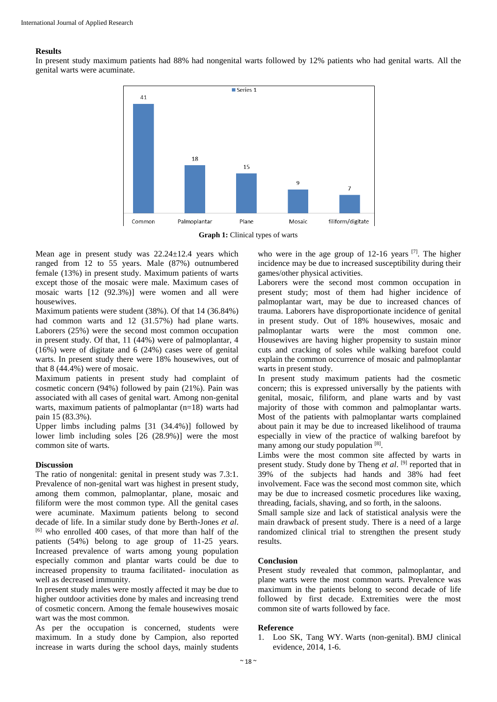#### **Results**

In present study maximum patients had 88% had nongenital warts followed by 12% patients who had genital warts. All the genital warts were acuminate.



**Graph 1:** Clinical types of warts

Mean age in present study was  $22.24 \pm 12.4$  years which ranged from 12 to 55 years. Male (87%) outnumbered female (13%) in present study. Maximum patients of warts except those of the mosaic were male. Maximum cases of mosaic warts [12 (92.3%)] were women and all were housewives.

Maximum patients were student (38%). Of that 14 (36.84%) had common warts and 12 (31.57%) had plane warts. Laborers (25%) were the second most common occupation in present study. Of that, 11 (44%) were of palmoplantar, 4 (16%) were of digitate and 6 (24%) cases were of genital warts. In present study there were 18% housewives, out of that 8 (44.4%) were of mosaic.

Maximum patients in present study had complaint of cosmetic concern (94%) followed by pain (21%). Pain was associated with all cases of genital wart. Among non-genital warts, maximum patients of palmoplantar (n=18) warts had pain 15 (83.3%).

Upper limbs including palms [31 (34.4%)] followed by lower limb including soles [26 (28.9%)] were the most common site of warts.

#### **Discussion**

The ratio of nongenital: genital in present study was 7.3:1. Prevalence of non-genital wart was highest in present study, among them common, palmoplantar, plane, mosaic and filiform were the most common type. All the genital cases were acuminate. Maximum patients belong to second decade of life. In a similar study done by Berth-Jones *et al*. [6] who enrolled 400 cases, of that more than half of the patients (54%) belong to age group of 11-25 years. Increased prevalence of warts among young population especially common and plantar warts could be due to increased propensity to trauma facilitated- inoculation as well as decreased immunity.

In present study males were mostly affected it may be due to higher outdoor activities done by males and increasing trend of cosmetic concern. Among the female housewives mosaic wart was the most common.

As per the occupation is concerned, students were maximum. In a study done by Campion, also reported increase in warts during the school days, mainly students

who were in the age group of  $12\n-16$  years  $^{[7]}$ . The higher incidence may be due to increased susceptibility during their games/other physical activities.

Laborers were the second most common occupation in present study; most of them had higher incidence of palmoplantar wart, may be due to increased chances of trauma. Laborers have disproportionate incidence of genital in present study. Out of 18% housewives, mosaic and palmoplantar warts were the most common one. Housewives are having higher propensity to sustain minor cuts and cracking of soles while walking barefoot could explain the common occurrence of mosaic and palmoplantar warts in present study.

In present study maximum patients had the cosmetic concern; this is expressed universally by the patients with genital, mosaic, filiform, and plane warts and by vast majority of those with common and palmoplantar warts. Most of the patients with palmoplantar warts complained about pain it may be due to increased likelihood of trauma especially in view of the practice of walking barefoot by many among our study population [8].

Limbs were the most common site affected by warts in present study. Study done by Theng *et al*. [9] reported that in 39% of the subjects had hands and 38% had feet involvement. Face was the second most common site, which may be due to increased cosmetic procedures like waxing, threading, facials, shaving, and so forth, in the saloons.

Small sample size and lack of statistical analysis were the main drawback of present study. There is a need of a large randomized clinical trial to strengthen the present study results.

#### **Conclusion**

Present study revealed that common, palmoplantar, and plane warts were the most common warts. Prevalence was maximum in the patients belong to second decade of life followed by first decade. Extremities were the most common site of warts followed by face.

#### **Reference**

1. Loo SK, Tang WY. Warts (non-genital). BMJ clinical evidence, 2014, 1-6.